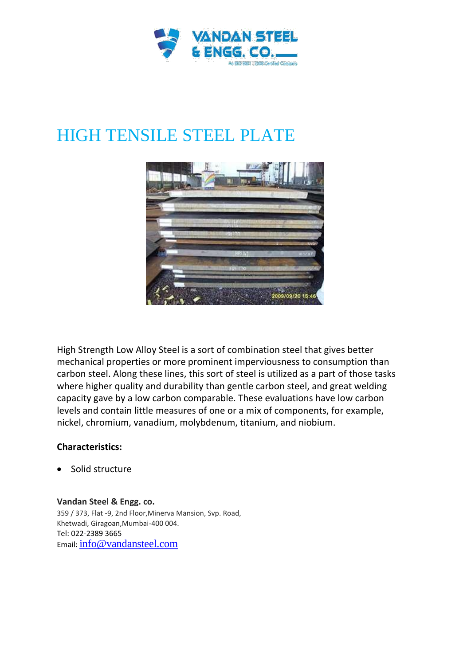

## HIGH TENSILE STEEL PLATE



High Strength Low Alloy Steel is a sort of combination steel that gives better mechanical properties or more prominent imperviousness to consumption than carbon steel. Along these lines, this sort of steel is utilized as a part of those tasks where higher quality and durability than gentle carbon steel, and great welding capacity gave by a low carbon comparable. These evaluations have low carbon levels and contain little measures of one or a mix of components, for example, nickel, chromium, vanadium, molybdenum, titanium, and niobium.

## **Characteristics:**

Solid structure

**Vandan Steel & Engg. co.**

359 / 373, Flat -9, 2nd Floor,Minerva Mansion, Svp. Road, Khetwadi, Giragoan,Mumbai-400 004. Tel: 022-2389 3665 Email: info@vandansteel.com